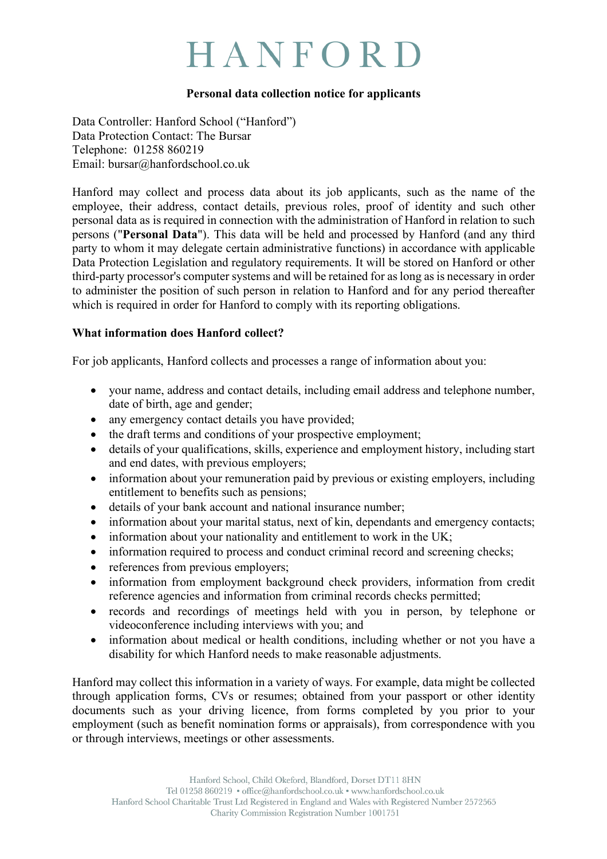# HANFORD

#### **Personal data collection notice for applicants**

Data Controller: Hanford School ("Hanford") Data Protection Contact: The Bursar Telephone: 01258 860219 Email: bursar@hanfordschool.co.uk

Hanford may collect and process data about its job applicants, such as the name of the employee, their address, contact details, previous roles, proof of identity and such other personal data as is required in connection with the administration of Hanford in relation to such persons ("**Personal Data**"). This data will be held and processed by Hanford (and any third party to whom it may delegate certain administrative functions) in accordance with applicable Data Protection Legislation and regulatory requirements. It will be stored on Hanford or other third-party processor's computer systems and will be retained for as long as is necessary in order to administer the position of such person in relation to Hanford and for any period thereafter which is required in order for Hanford to comply with its reporting obligations.

#### **What information does Hanford collect?**

For job applicants, Hanford collects and processes a range of information about you:

- your name, address and contact details, including email address and telephone number, date of birth, age and gender;
- any emergency contact details you have provided;
- the draft terms and conditions of your prospective employment;
- details of your qualifications, skills, experience and employment history, including start and end dates, with previous employers;
- information about your remuneration paid by previous or existing employers, including entitlement to benefits such as pensions;
- details of your bank account and national insurance number;
- information about your marital status, next of kin, dependants and emergency contacts;
- information about your nationality and entitlement to work in the UK;
- information required to process and conduct criminal record and screening checks;
- references from previous employers;
- information from employment background check providers, information from credit reference agencies and information from criminal records checks permitted;
- records and recordings of meetings held with you in person, by telephone or videoconference including interviews with you; and
- information about medical or health conditions, including whether or not you have a disability for which Hanford needs to make reasonable adjustments.

Hanford may collect this information in a variety of ways. For example, data might be collected through application forms, CVs or resumes; obtained from your passport or other identity documents such as your driving licence, from forms completed by you prior to your employment (such as benefit nomination forms or appraisals), from correspondence with you or through interviews, meetings or other assessments.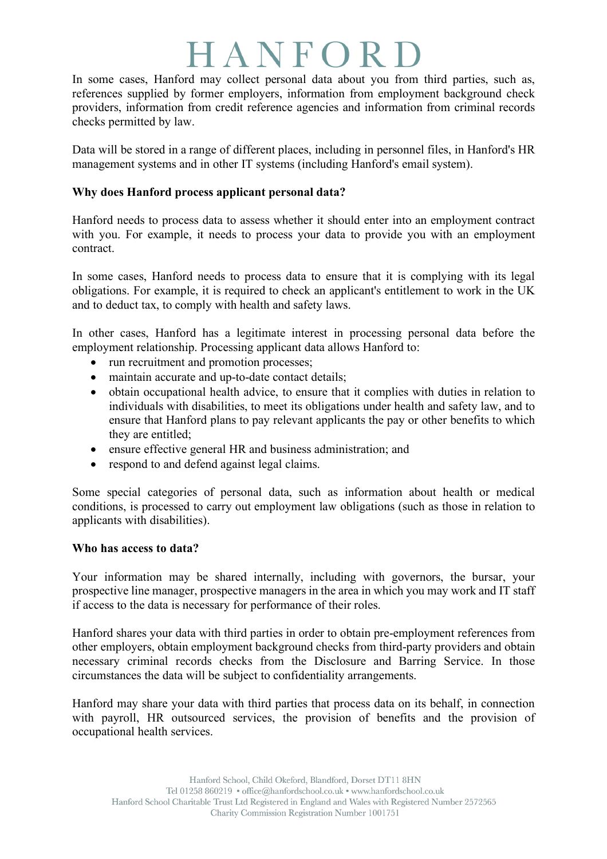## HANFORI

In some cases, Hanford may collect personal data about you from third parties, such as, references supplied by former employers, information from employment background check providers, information from credit reference agencies and information from criminal records checks permitted by law.

Data will be stored in a range of different places, including in personnel files, in Hanford's HR management systems and in other IT systems (including Hanford's email system).

### **Why does Hanford process applicant personal data?**

Hanford needs to process data to assess whether it should enter into an employment contract with you. For example, it needs to process your data to provide you with an employment contract.

In some cases, Hanford needs to process data to ensure that it is complying with its legal obligations. For example, it is required to check an applicant's entitlement to work in the UK and to deduct tax, to comply with health and safety laws.

In other cases, Hanford has a legitimate interest in processing personal data before the employment relationship. Processing applicant data allows Hanford to:

- run recruitment and promotion processes;
- maintain accurate and up-to-date contact details;
- obtain occupational health advice, to ensure that it complies with duties in relation to individuals with disabilities, to meet its obligations under health and safety law, and to ensure that Hanford plans to pay relevant applicants the pay or other benefits to which they are entitled;
- ensure effective general HR and business administration; and
- respond to and defend against legal claims.

Some special categories of personal data, such as information about health or medical conditions, is processed to carry out employment law obligations (such as those in relation to applicants with disabilities).

#### **Who has access to data?**

Your information may be shared internally, including with governors, the bursar, your prospective line manager, prospective managers in the area in which you may work and IT staff if access to the data is necessary for performance of their roles.

Hanford shares your data with third parties in order to obtain pre-employment references from other employers, obtain employment background checks from third-party providers and obtain necessary criminal records checks from the Disclosure and Barring Service. In those circumstances the data will be subject to confidentiality arrangements.

Hanford may share your data with third parties that process data on its behalf, in connection with payroll, HR outsourced services, the provision of benefits and the provision of occupational health services.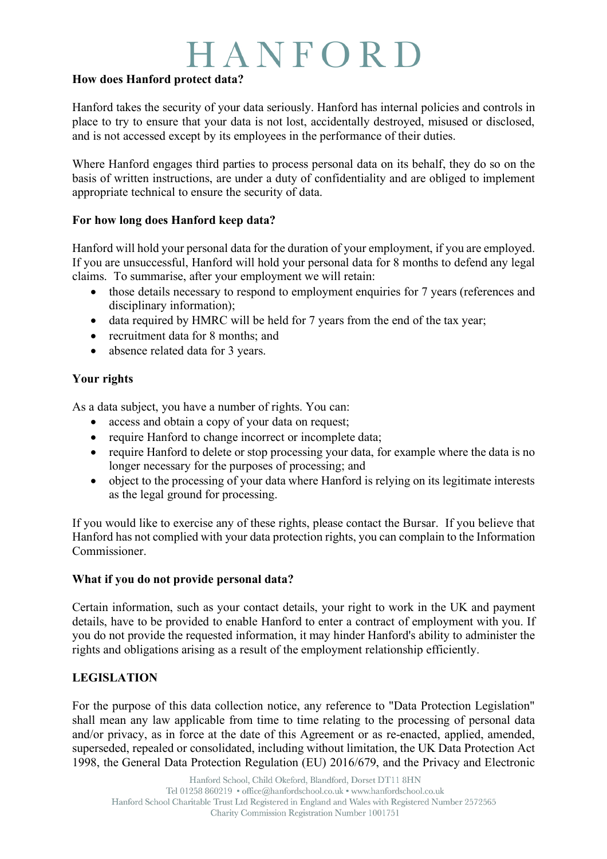## HANFORD

#### **How does Hanford protect data?**

Hanford takes the security of your data seriously. Hanford has internal policies and controls in place to try to ensure that your data is not lost, accidentally destroyed, misused or disclosed, and is not accessed except by its employees in the performance of their duties.

Where Hanford engages third parties to process personal data on its behalf, they do so on the basis of written instructions, are under a duty of confidentiality and are obliged to implement appropriate technical to ensure the security of data.

#### **For how long does Hanford keep data?**

Hanford will hold your personal data for the duration of your employment, if you are employed. If you are unsuccessful, Hanford will hold your personal data for 8 months to defend any legal claims. To summarise, after your employment we will retain:

- those details necessary to respond to employment enquiries for 7 years (references and disciplinary information);
- data required by HMRC will be held for 7 years from the end of the tax year;
- recruitment data for 8 months; and
- absence related data for 3 years.

#### **Your rights**

As a data subject, you have a number of rights. You can:

- access and obtain a copy of your data on request;
- require Hanford to change incorrect or incomplete data;
- require Hanford to delete or stop processing your data, for example where the data is no longer necessary for the purposes of processing; and
- object to the processing of your data where Hanford is relying on its legitimate interests as the legal ground for processing.

If you would like to exercise any of these rights, please contact the Bursar. If you believe that Hanford has not complied with your data protection rights, you can complain to the Information **Commissioner** 

#### **What if you do not provide personal data?**

Certain information, such as your contact details, your right to work in the UK and payment details, have to be provided to enable Hanford to enter a contract of employment with you. If you do not provide the requested information, it may hinder Hanford's ability to administer the rights and obligations arising as a result of the employment relationship efficiently.

### **LEGISLATION**

For the purpose of this data collection notice, any reference to "Data Protection Legislation" shall mean any law applicable from time to time relating to the processing of personal data and/or privacy, as in force at the date of this Agreement or as re-enacted, applied, amended, superseded, repealed or consolidated, including without limitation, the UK Data Protection Act 1998, the General Data Protection Regulation (EU) 2016/679, and the Privacy and Electronic